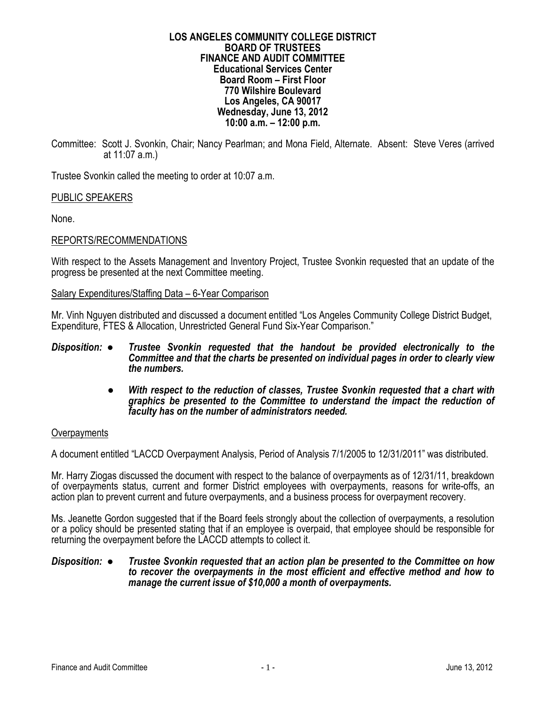#### **LOS ANGELES COMMUNITY COLLEGE DISTRICT BOARD OF TRUSTEES FINANCE AND AUDIT COMMITTEE Educational Services Center Board Room – First Floor 770 Wilshire Boulevard Los Angeles, CA 90017 Wednesday, June 13, 2012 10:00 a.m. – 12:00 p.m.**

Committee: Scott J. Svonkin, Chair; Nancy Pearlman; and Mona Field, Alternate. Absent: Steve Veres (arrived at 11:07 a.m.)

Trustee Svonkin called the meeting to order at 10:07 a.m.

# PUBLIC SPEAKERS

None.

# REPORTS/RECOMMENDATIONS

With respect to the Assets Management and Inventory Project, Trustee Svonkin requested that an update of the progress be presented at the next Committee meeting.

## Salary Expenditures/Staffing Data – 6-Year Comparison

Mr. Vinh Nguyen distributed and discussed a document entitled "Los Angeles Community College District Budget, Expenditure, FTES & Allocation, Unrestricted General Fund Six-Year Comparison."

- *Disposition: Trustee Svonkin requested that the handout be provided electronically to the Committee and that the charts be presented on individual pages in order to clearly view the numbers.* 
	- *With respect to the reduction of classes, Trustee Svonkin requested that a chart with graphics be presented to the Committee to understand the impact the reduction of faculty has on the number of administrators needed.*

## **Overpayments**

A document entitled "LACCD Overpayment Analysis, Period of Analysis 7/1/2005 to 12/31/2011" was distributed.

Mr. Harry Ziogas discussed the document with respect to the balance of overpayments as of 12/31/11, breakdown of overpayments status, current and former District employees with overpayments, reasons for write-offs, an action plan to prevent current and future overpayments, and a business process for overpayment recovery.

Ms. Jeanette Gordon suggested that if the Board feels strongly about the collection of overpayments, a resolution or a policy should be presented stating that if an employee is overpaid, that employee should be responsible for returning the overpayment before the LACCD attempts to collect it.

#### *Disposition: ● Trustee Svonkin requested that an action plan be presented to the Committee on how to recover the overpayments in the most efficient and effective method and how to manage the current issue of \$10,000 a month of overpayments.*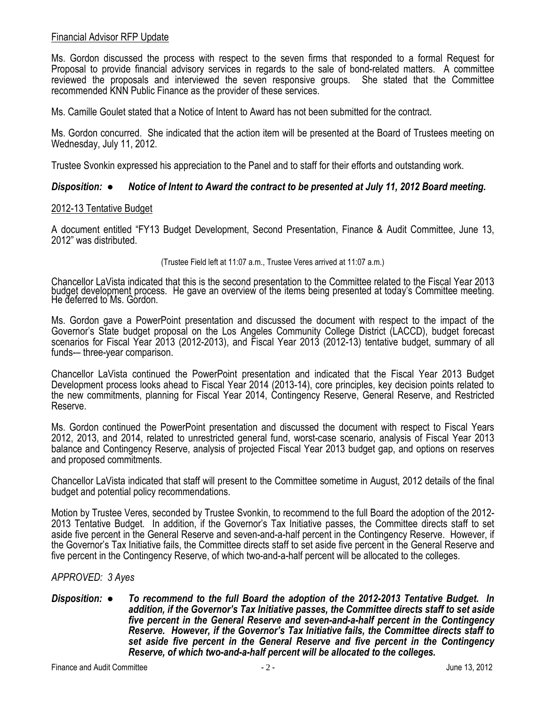# Financial Advisor RFP Update

Ms. Gordon discussed the process with respect to the seven firms that responded to a formal Request for Proposal to provide financial advisory services in regards to the sale of bond-related matters. A committee reviewed the proposals and interviewed the seven responsive groups. She stated that the Committee recommended KNN Public Finance as the provider of these services.

Ms. Camille Goulet stated that a Notice of Intent to Award has not been submitted for the contract.

Ms. Gordon concurred. She indicated that the action item will be presented at the Board of Trustees meeting on Wednesday, July 11, 2012.

Trustee Svonkin expressed his appreciation to the Panel and to staff for their efforts and outstanding work.

# *Disposition: ● Notice of Intent to Award the contract to be presented at July 11, 2012 Board meeting.*

## 2012-13 Tentative Budget

A document entitled "FY13 Budget Development, Second Presentation, Finance & Audit Committee, June 13, 2012" was distributed.

(Trustee Field left at 11:07 a.m., Trustee Veres arrived at 11:07 a.m.)

Chancellor LaVista indicated that this is the second presentation to the Committee related to the Fiscal Year 2013 budget development process. He gave an overview of the items being presented at today's Committee meeting. He deferred to Ms. Gordon.

Ms. Gordon gave a PowerPoint presentation and discussed the document with respect to the impact of the Governor's State budget proposal on the Los Angeles Community College District (LACCD), budget forecast scenarios for Fiscal Year 2013 (2012-2013), and Fiscal Year 2013 (2012-13) tentative budget, summary of all funds-– three-year comparison.

Chancellor LaVista continued the PowerPoint presentation and indicated that the Fiscal Year 2013 Budget Development process looks ahead to Fiscal Year 2014 (2013-14), core principles, key decision points related to the new commitments, planning for Fiscal Year 2014, Contingency Reserve, General Reserve, and Restricted Reserve.

Ms. Gordon continued the PowerPoint presentation and discussed the document with respect to Fiscal Years 2012, 2013, and 2014, related to unrestricted general fund, worst-case scenario, analysis of Fiscal Year 2013 balance and Contingency Reserve, analysis of projected Fiscal Year 2013 budget gap, and options on reserves and proposed commitments.

Chancellor LaVista indicated that staff will present to the Committee sometime in August, 2012 details of the final budget and potential policy recommendations.

Motion by Trustee Veres, seconded by Trustee Svonkin, to recommend to the full Board the adoption of the 2012- 2013 Tentative Budget. In addition, if the Governor's Tax Initiative passes, the Committee directs staff to set aside five percent in the General Reserve and seven-and-a-half percent in the Contingency Reserve. However, if the Governor's Tax Initiative fails, the Committee directs staff to set aside five percent in the General Reserve and five percent in the Contingency Reserve, of which two-and-a-half percent will be allocated to the colleges.

# *APPROVED: 3 Ayes*

*Disposition: ● To recommend to the full Board the adoption of the 2012-2013 Tentative Budget. In addition, if the Governor's Tax Initiative passes, the Committee directs staff to set aside five percent in the General Reserve and seven-and-a-half percent in the Contingency Reserve. However, if the Governor's Tax Initiative fails, the Committee directs staff to set aside five percent in the General Reserve and five percent in the Contingency Reserve, of which two-and-a-half percent will be allocated to the colleges.*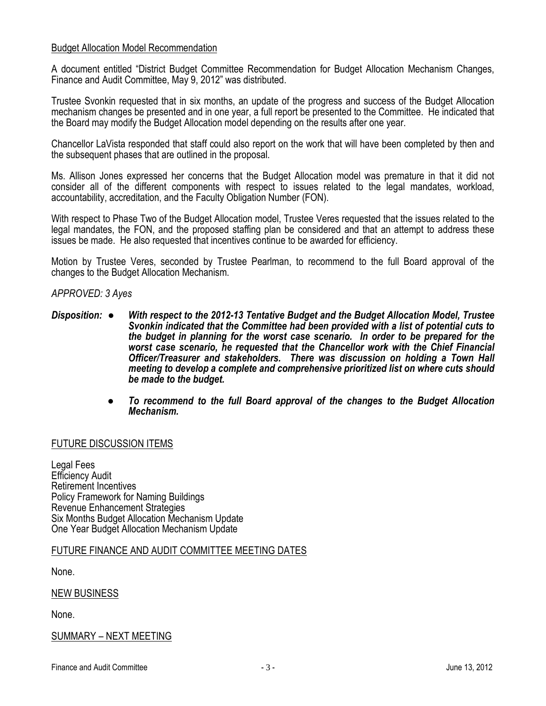# Budget Allocation Model Recommendation

A document entitled "District Budget Committee Recommendation for Budget Allocation Mechanism Changes, Finance and Audit Committee, May 9, 2012" was distributed.

Trustee Svonkin requested that in six months, an update of the progress and success of the Budget Allocation mechanism changes be presented and in one year, a full report be presented to the Committee. He indicated that the Board may modify the Budget Allocation model depending on the results after one year.

Chancellor LaVista responded that staff could also report on the work that will have been completed by then and the subsequent phases that are outlined in the proposal.

Ms. Allison Jones expressed her concerns that the Budget Allocation model was premature in that it did not consider all of the different components with respect to issues related to the legal mandates, workload, accountability, accreditation, and the Faculty Obligation Number (FON).

With respect to Phase Two of the Budget Allocation model, Trustee Veres requested that the issues related to the legal mandates, the FON, and the proposed staffing plan be considered and that an attempt to address these issues be made. He also requested that incentives continue to be awarded for efficiency.

Motion by Trustee Veres, seconded by Trustee Pearlman, to recommend to the full Board approval of the changes to the Budget Allocation Mechanism.

# *APPROVED: 3 Ayes*

- *Disposition: With respect to the 2012-13 Tentative Budget and the Budget Allocation Model, Trustee Svonkin indicated that the Committee had been provided with a list of potential cuts to the budget in planning for the worst case scenario. In order to be prepared for the worst case scenario, he requested that the Chancellor work with the Chief Financial Officer/Treasurer and stakeholders. There was discussion on holding a Town Hall meeting to develop a complete and comprehensive prioritized list on where cuts should be made to the budget.* 
	- *To recommend to the full Board approval of the changes to the Budget Allocation Mechanism.*

# FUTURE DISCUSSION ITEMS

Legal Fees Efficiency Audit Retirement Incentives Policy Framework for Naming Buildings Revenue Enhancement Strategies Six Months Budget Allocation Mechanism Update One Year Budget Allocation Mechanism Update

## FUTURE FINANCE AND AUDIT COMMITTEE MEETING DATES

None.

## NEW BUSINESS

None.

# SUMMARY – NEXT MEETING

Finance and Audit Committee  $\overline{\phantom{a}}$  - 3 -  $\overline{\phantom{a}}$  -  $\overline{\phantom{a}}$  -  $\overline{\phantom{a}}$  June 13, 2012